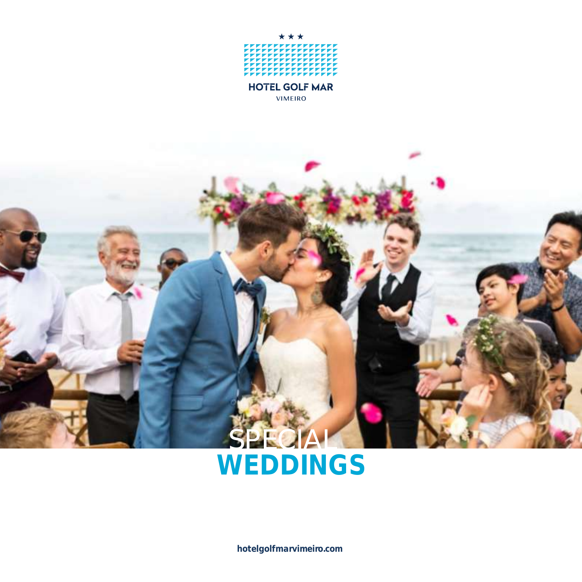

# SPECIAL **WEDDINGS**

**hotelgolfmarvimeiro.com**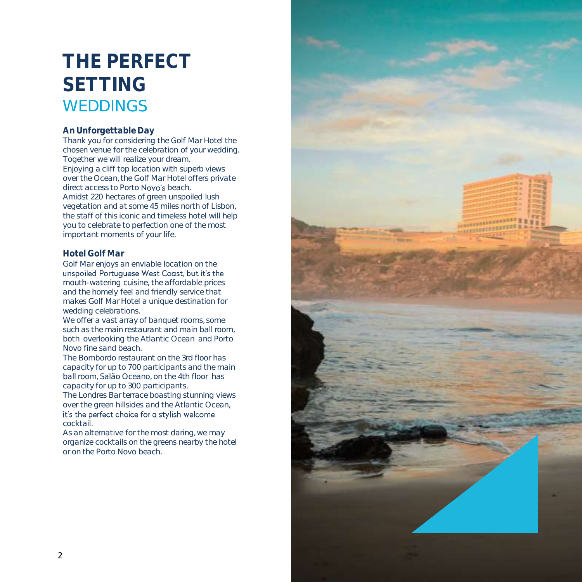# **THE PERFECT SETTING** WEDDINGS

#### **An Unforgettable Day**

Thank you for considering the Golf Mar Hotel the chosen venue for the celebration of your wedding. Together we will realize your dream. Enjoying a cliff top location with superb views over the Ocean, the Golf Mar Hotel offers private direct access to Porto Novo's beach. Amidst 220 hectares of green unspoiled lush vegetation and at some 45 miles north of Lisbon, the staff of this iconic and timeless hotel will help you to celebrate to perfection one of the most important moments of your life.

#### **Hotel Golf Mar**

Golf Mar enjoys an enviable location on the<br>unspoiled Portuguese West Cogst, but it's the mouth-watering cuisine, the affordable prices and the homely feel and friendly service that makes Golf Mar Hotel a unique destination for wedding celebrations.

We offer a vast array of banquet rooms, some such as the main restaurant and main ball room, both overlooking the Atlantic Ocean and Porto Novo fine sand beach.

The Bombordo restaurant on the 3rd floor has capacity for up to 700 participants and the main ball room, Salão Oceano, on the 4th floor has capacity for up to 300 participants.

The Londres Bar terrace boasting stunning views over the green hillsides and the Atlantic Ocean, it's the perfect choice for a stylish welcome cocktail.

As an alternative for the most daring, we may organize cocktails on the greens nearby the hotel or on the Porto Novo beach.

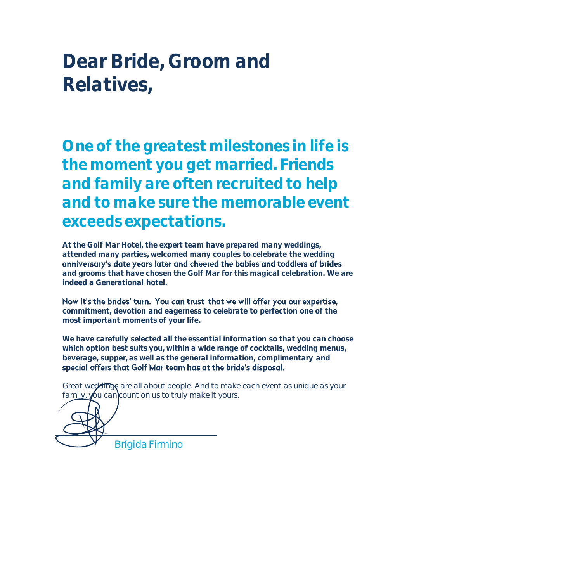# **Dear Bride, Groom and Relatives,**

**One of the greatest milestones in life is the moment you get married. Friends and family are often recruited to help and to make sure the memorable event exceeds expectations.** 

**At the Golf Mar Hotel, the expert team have prepared many weddings, attended many parties, welcomed many couples to celebrate the wedding and grooms that have chosen the Golf Mar for this magical celebration. We are indeed a Generational hotel.**

Now it's the brides' turn. You can trust that we will offer you our expertise, **commitment, devotion and eagerness to celebrate to perfection one of the most important moments of your life.**

**We have carefully selected all the essential information so that you can choose which option best suits you, within a wide range of cocktails, wedding menus, beverage, supper, as well as the general information, complimentary and**  special offers that Golf Mar team has at the bride's disposal.

Great weddings are all about people. And to make each event as unique as your family, you can count on us to truly make it yours.

*Brígida Firmino*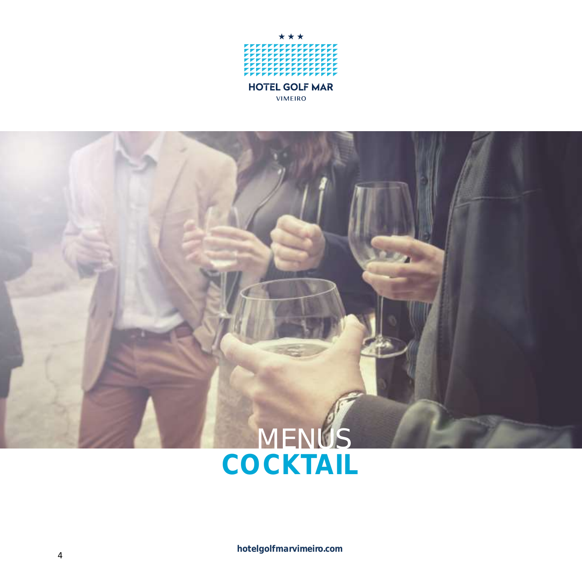

VIMEIRO

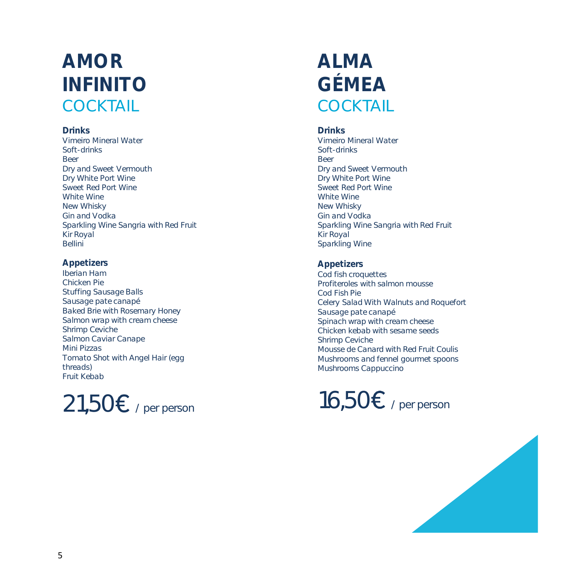# **AMOR INFINITO COCKTAIL**

#### **Drinks**

Vimeiro Mineral Water Soft-drinks Beer Dry and Sweet Vermouth Dry White Port Wine Sweet Red Port Wine White Wine New Whisky Gin and Vodka Sparkling Wine Sangria with Red Fruit Kir Royal **Bellini** 

### **Appetizers**

Iberian Ham Chicken Pie Stuffing Sausage Balls Sausage pate canapé Baked Brie with Rosemary Honey Salmon wrap with cream cheese Shrimp Ceviche Salmon Caviar Canape Mini Pizzas Tomato Shot with Angel Hair (egg threads) Fruit Kebab

# $21,50$ € / per person

# **ALMA GÉMEA COCKTAIL**

**Drinks** Vimeiro Mineral Water Soft-drinks Beer Dry and Sweet Vermouth Dry White Port Wine Sweet Red Port Wine White Wine New Whisky Gin and Vodka Sparkling Wine Sangria with Red Fruit Kir Royal Sparkling Wine

#### **Appetizers** Cod fish croquettes Profiteroles with salmon mousse Cod Fish Pie Celery Salad With Walnuts and Roquefort Sausage pate canapé Spinach wrap with cream cheese Chicken kebab with sesame seeds Shrimp Ceviche Mousse de Canard with Red Fruit Coulis Mushrooms and fennel gourmet spoons Mushrooms Cappuccino



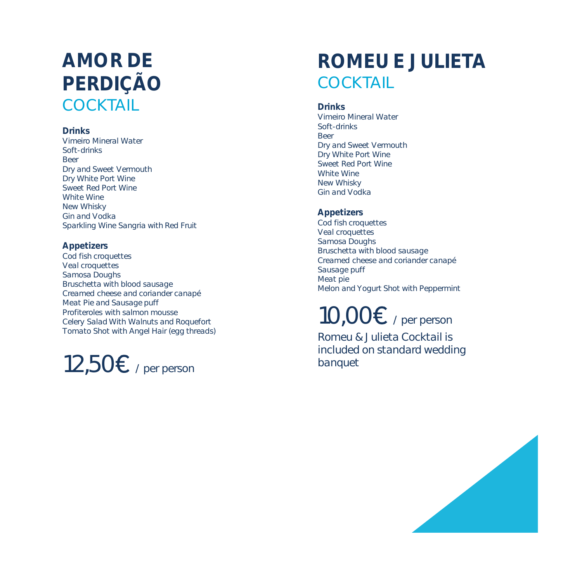# **AMOR DE PERDIÇÃO COCKTAIL**

#### **Drinks**

Vimeiro Mineral Water Soft-drinks Beer Dry and Sweet Vermouth Dry White Port Wine Sweet Red Port Wine White Wine New Whisky Gin and Vodka Sparkling Wine Sangria with Red Fruit

### **Appetizers**

Cod fish croquettes Veal croquettes Samosa Doughs Bruschetta with blood sausage Creamed cheese and coriander canapé Meat Pie and Sausage puff Profiteroles with salmon mousse Celery Salad With Walnuts and Roquefort Tomato Shot with Angel Hair (egg threads)

 $12,50$ € / per person

# **ROMEU E JULIETA COCKTAIL**

### **Drinks**

Vimeiro Mineral Water Soft-drinks Beer Dry and Sweet Vermouth Dry White Port Wine Sweet Red Port Wine White Wine New Whisky Gin and Vodka

### **Appetizers**

Cod fish croquettes Veal croquettes Samosa Doughs Bruschetta with blood sausage Creamed cheese and coriander canapé Sausage puff Meat pie Melon and Yogurt Shot with Peppermint

# $10,00$  $\varepsilon$  / per person

Romeu & Julieta Cocktail is included on standard wedding banquet

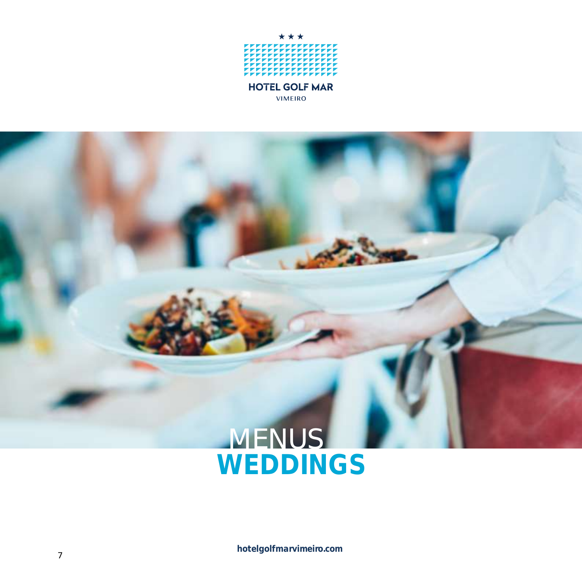

# **MENUS WEDDINGS**

**hotelgolfmarvimeiro.com**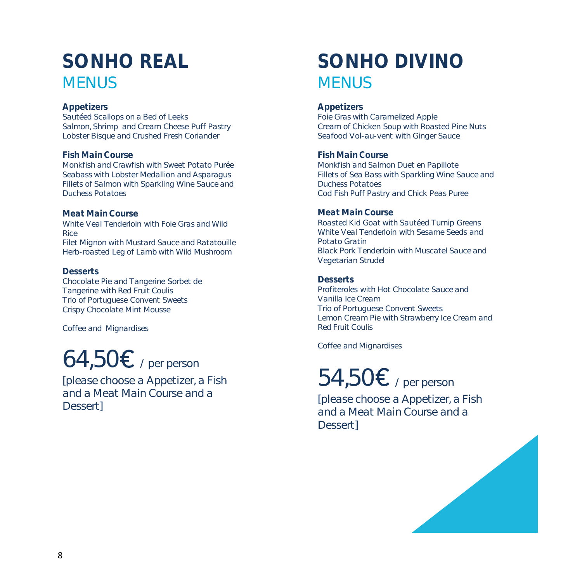# **SONHO REAL MENUS**

#### **Appetizers**

Sautéed Scallops on a Bed of Leeks Salmon, Shrimp and Cream Cheese Puff Pastry Lobster Bisque and Crushed Fresh Coriander

#### **Fish MainCourse**

Monkfish and Crawfish with Sweet Potato Purée Seabass with Lobster Medallion and Asparagus Fillets of Salmon with Sparkling Wine Sauce and Duchess Potatoes

**Meat MainCourse**

White Veal Tenderloin with Foie Gras and Wild Rice Filet Mignon with Mustard Sauce and Ratatouille Herb-roasted Leg of Lamb with Wild Mushroom

**Desserts**

Chocolate Pie and Tangerine Sorbet de Tangerine with Red Fruit Coulis Trio of Portuguese Convent Sweets Crispy Chocolate Mint Mousse

Coffee and Mignardises

# $64,50$   $\varepsilon$  / per person

[please choose a Appetizer, a Fish and a Meat Main Course and a Dessert]

# **SONHO DIVINO MENUS**

#### **Appetizers**

Foie Gras with Caramelized Apple Cream of Chicken Soup with Roasted Pine Nuts Seafood Vol-au-vent with Ginger Sauce

**Fish Main Course** Monkfish and Salmon Duet en Papillote

Fillets of Sea Bass with Sparkling Wine Sauce and Duchess Potatoes Cod Fish Puff Pastry and Chick Peas Puree

#### **Meat MainCourse**

Roasted Kid Goat with Sautéed Turnip Greens White Veal Tenderloin with Sesame Seeds and Potato Gratin Black Pork Tenderloin with Muscatel Sauce and Vegetarian Strudel

**Desserts**

Profiteroles with Hot Chocolate Sauce and Vanilla Ice Cream Trio of Portuguese Convent Sweets Lemon Cream Pie with Strawberry Ice Cream and Red Fruit Coulis

Coffee and Mignardises

# 54,50 $\epsilon$  / per person

[please choose a Appetizer, a Fish and a Meat Main Course and a Dessert]

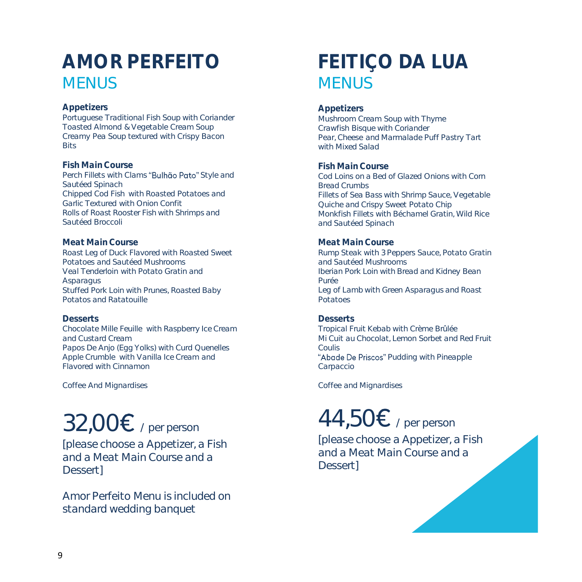# **AMOR PERFEITO MENUS**

#### **Appetizers**

Portuguese Traditional Fish Soup with Coriander Toasted Almond & Vegetable Cream Soup Creamy Pea Soup textured with Crispy Bacon **Bits** 

#### **Fish MainCourse**

Perch Fillets with Clams "Bulhão Pato" Style and Sautéed Spinach Chipped Cod Fish with Roasted Potatoes and Garlic Textured with Onion Confit Rolls of Roast Rooster Fish with Shrimps and Sautéed Broccoli

#### **Meat MainCourse**

Roast Leg of Duck Flavored with Roasted Sweet Potatoes and Sautéed Mushrooms Veal Tenderloin with Potato Gratin and **Asparagus** Stuffed Pork Loin with Prunes, Roasted Baby Potatos and Ratatouille

#### **Desserts**

Chocolate Mille Feuille with Raspberry Ice Cream and Custard Cream Papos De Anjo (Egg Yolks) with Curd Quenelles Apple Crumble with Vanilla Ice Cream and Flavored with Cinnamon

Coffee And Mignardises

# $32,00$   $\varepsilon$  / per person

[please choose a Appetizer, a Fish and a Meat Main Course and a Dessert]

Amor Perfeito Menu is included on standard wedding banquet

# **FEITIÇO DA LUA MENUS**

#### **Appetizers**

Mushroom Cream Soup with Thyme Crawfish Bisque with Coriander Pear, Cheese and Marmalade Puff Pastry Tart with Mixed Salad

#### **Fish Main Course**

Cod Loins on a Bed of Glazed Onions with Corn Bread Crumbs Fillets of Sea Bass with Shrimp Sauce, Vegetable Quiche and Crispy Sweet Potato Chip Monkfish Fillets with Béchamel Gratin, Wild Rice and Sautéed Spinach

#### **Meat Main Course**

Rump Steak with 3 Peppers Sauce, Potato Gratin and Sautéed Mushrooms Iberian Pork Loin with Bread and Kidney Bean Purée Leg of Lamb with Green Asparagus and Roast Potatoes

### **Desserts**

Tropical Fruit Kebab with Crème Brûlée Mi Cuit au Chocolat, Lemon Sorbet and Red Fruit Coulis

"Abade De Priscos" Pudding with Pineapple Carpaccio

Coffee and Mignardises

# 44,50 $\epsilon$  / per person

[please choose a Appetizer, a Fish and a Meat Main Course and a Dessert]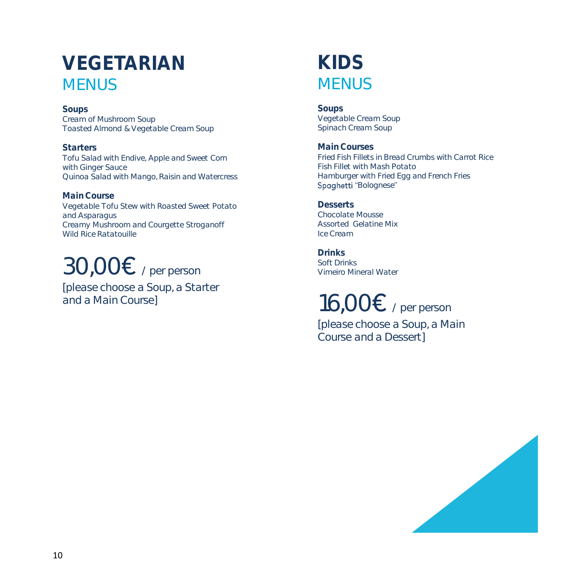# **VEGETARIAN MENUS**

**Soups** Cream of Mushroom Soup Toasted Almond & Vegetable Cream Soup

**Starters** Tofu Salad with Endive, Apple and Sweet Corn with Ginger Sauce Quinoa Salad with Mango, Raisin and Watercress

**MainCourse** Vegetable Tofu Stew with Roasted Sweet Potato and Asparagus Creamy Mushroom and Courgette Stroganoff Wild Rice Ratatouille

# $30,00$   $\varepsilon$  / per person

[please choose a Soup, a Starter and a Main Course]

## **KIDS MENUS**

**Soups** Vegetable Cream Soup Spinach Cream Soup

**MainCourses** Fried Fish Fillets in Bread Crumbs with Carrot Rice Fish Fillet with Mash Potato Hamburger with Fried Egg and French Fries Spaghetti "Bolognese"

**Desserts** Chocolate Mousse Assorted Gelatine Mix Ice Cream

**Drinks** Soft Drinks Vimeiro Mineral Water

 $16,00 \varepsilon$  / per person

[please choose a Soup, a Main Course and a Dessert]

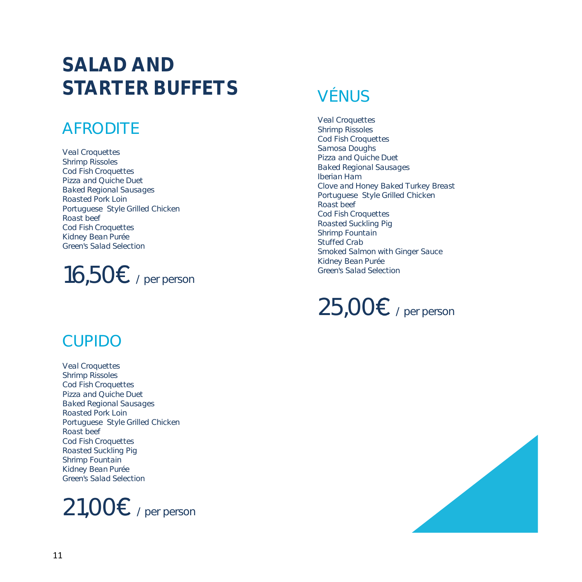# **SALAD AND STARTER BUFFETS**

## AFRODITE

Veal Croquettes Shrimp Rissoles Cod Fish Croquettes Pizza and Quiche Duet Baked Regional Sausages Roasted Pork Loin Portuguese Style Grilled Chicken Roast beef Cod Fish Croquettes Kidney Bean Purée Green's Salad Selection

# 16,50 $\epsilon$  / per person

## CUPIDO

Veal Croquettes Shrimp Rissoles Cod Fish Croquettes Pizza and Quiche Duet Baked Regional Sausages Roasted Pork Loin Portuguese Style Grilled Chicken Roast beef Cod Fish Croquettes Roasted Suckling Pig Shrimp Fountain Kidney Bean Purée Green's Salad Selection



## VÉNUS

Veal Croquettes Shrimp Rissoles Cod Fish Croquettes Samosa Doughs Pizza and Quiche Duet Baked Regional Sausages Iberian Ham Clove and Honey Baked Turkey Breast Portuguese Style Grilled Chicken Roast beef Cod Fish Croquettes Roasted Suckling Pig Shrimp Fountain Stuffed Crab Smoked Salmon with Ginger Sauce Kidney Bean Purée Green's Salad Selection



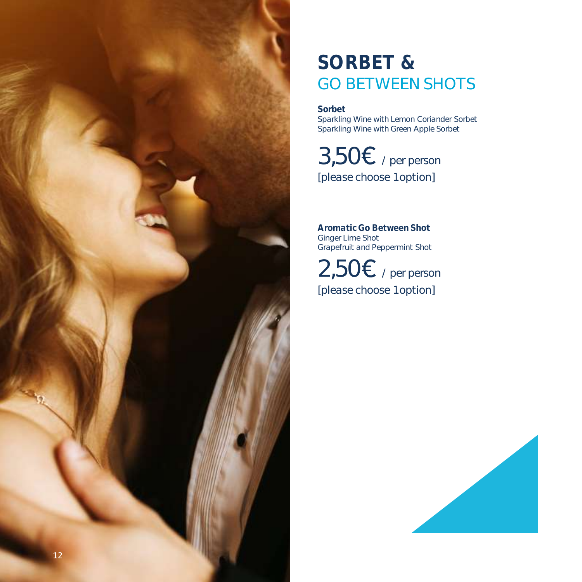

# **SORBET &** GO BETWEEN SHOTS

**Sorbet**

Sparkling Wine with Lemon Coriander Sorbet Sparkling Wine with Green Apple Sorbet

 $3,50$ € / per person [please choose 1 option]

**Aromatic Go Between Shot** Ginger Lime Shot Grapefruit and Peppermint Shot

 $2,50<sup>2</sup>$  / per person [please choose 1 option]

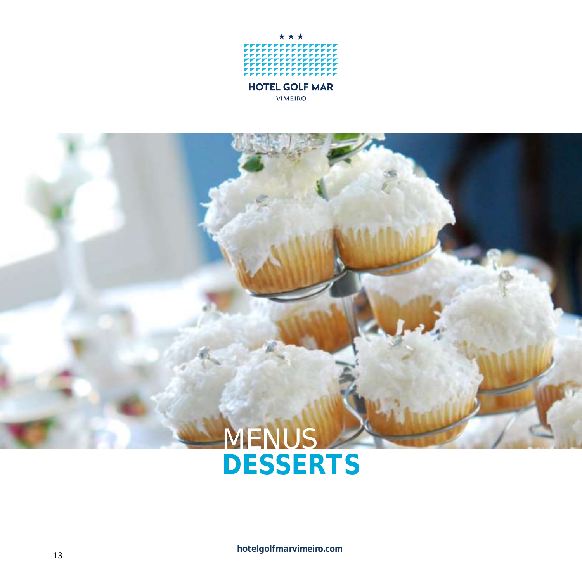

# MENUS **DESSERTS**

**hotelgolfmarvimeiro.com**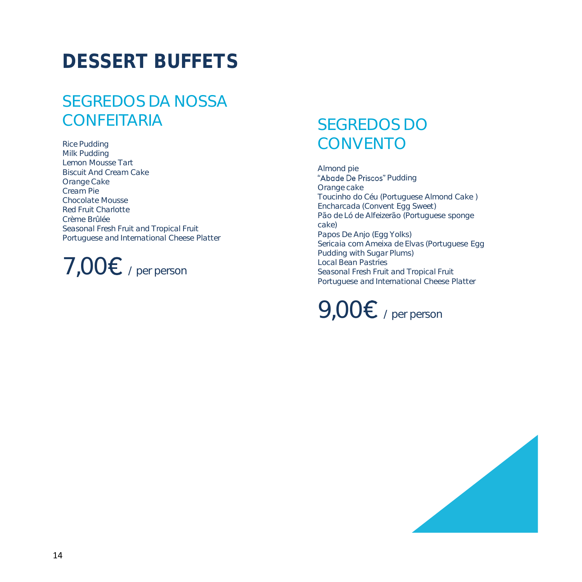# **DESSERT BUFFETS**

## SEGREDOS DA NOSSA CONFEITARIA

Rice Pudding Milk Pudding Lemon Mousse Tart Biscuit And Cream Cake Orange Cake Cream Pie Chocolate Mousse Red Fruit Charlotte Crème Brûlée Seasonal Fresh Fruit and Tropical Fruit Portuguese and International Cheese Platter

 $7,00$  $\varepsilon$  / per person

## SEGREDOS DO CONVENTO

Almond pie "Abade De Priscos" Pudding Orange cake Toucinho do Céu (Portuguese Almond Cake ) Encharcada (Convent Egg Sweet) Pão de Ló de Alfeizerão (Portuguese sponge cake) Papos De Anjo (Egg Yolks) Sericaia com Ameixa de Elvas (Portuguese Egg Pudding with Sugar Plums) Local Bean Pastries Seasonal Fresh Fruit and Tropical Fruit Portuguese and International Cheese Platter



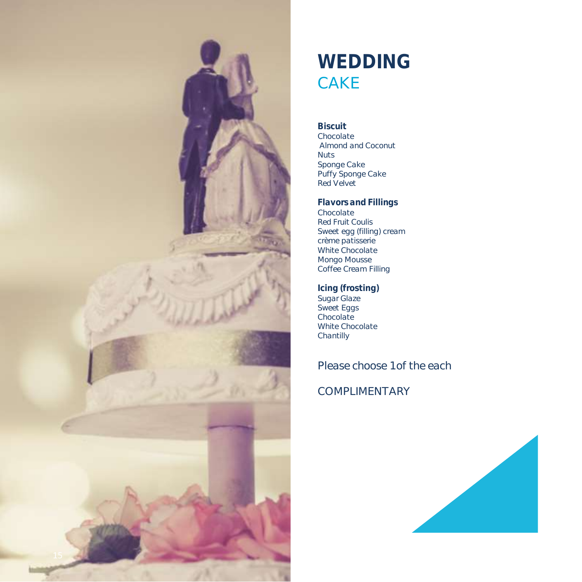

# **WEDDING** CAKE

**Biscuit** Chocolate Almond and Coconut Nuts Sponge Cake Puffy Sponge Cake Red Velvet

**Flavors and Fillings** Chocolate Red Fruit Coulis Sweet egg (filling) cream crème patisserie White Chocolate Mongo Mousse Coffee Cream Filling

**Icing (frosting )** Sugar Glaze Sweet Eggs Chocolate White Chocolate Chantilly

Please choose 1 of the each

COMPLIMENTARY

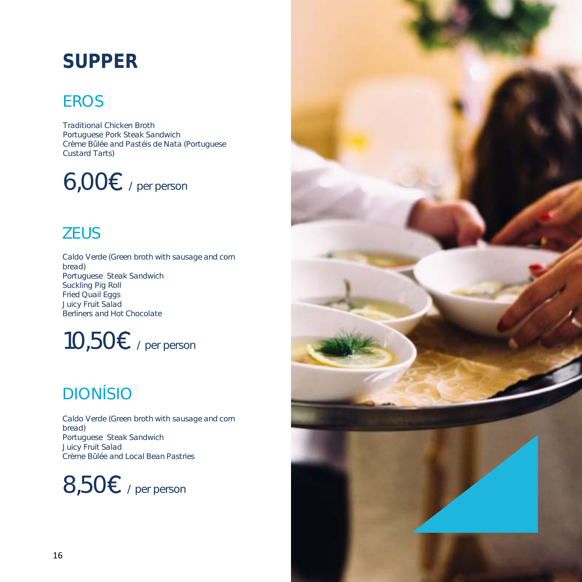# **SUPPER**

## EROS

Traditional Chicken Broth Portuguese Pork Steak Sandwich Crème Bûlée and Pastéis de Nata (Portuguese Custard Tarts)

 $6,00<sup>ε</sup>$  / per person

## **ZEUS**

Caldo Verde (Green broth with sausage and corn bread) Portuguese Steak Sandwich Suckling Pig Roll Fried Quail Eggs Juicy Fruit Salad Berliners and Hot Chocolate

 $10,50$   $\varepsilon$  / per person

## DIONÍSIO

Caldo Verde (Green broth with sausage and corn bread) Portuguese Steak Sandwich Juicy Fruit Salad Crème Bûlée and Local Bean Pastries



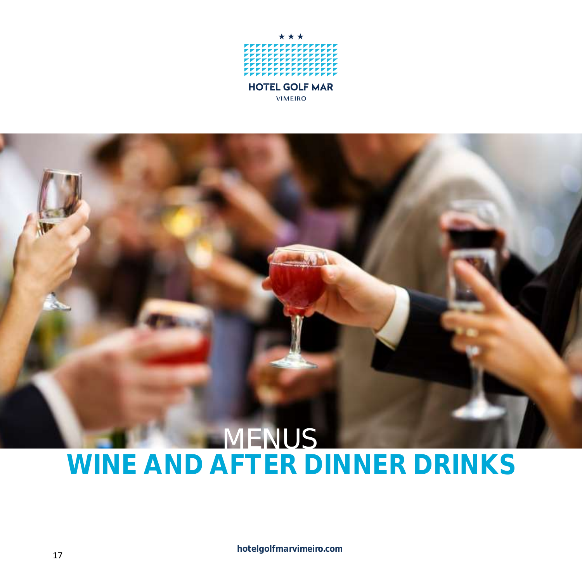

# **MENUS WINE AND AFTER DINNER DRINKS**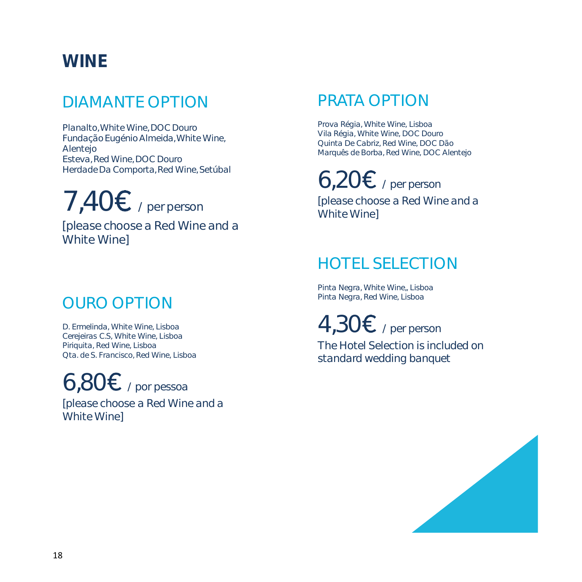## **WINE**

## DIAMANTE OPTION

Planalto, White Wine, DOC Douro Fundação Eugénio Almeida, White Wine, Alentejo Esteva, Red Wine, DOC Douro Herdade Da Comporta, Red Wine, Setúbal

 $7,40<sup>2</sup>$  / per person [please choose a Red Wine and a White Wine]

## OURO OPTION

D. Ermelinda, White Wine, Lisboa Cerejeiras C.S, White Wine, Lisboa Piriquita, Red Wine, Lisboa Qta. de S. Francisco, Red Wine, Lisboa

 $6,80E$  / por pessoa

[please choose a Red Wine and a White Wine]

## PRATA OPTION

Prova Régia, White Wine, Lisboa Vila Régia, White Wine, DOC Douro Quinta De Cabriz, Red Wine, DOC Dão Marquês de Borba, Red Wine, DOC Alentejo

 $6,20E$  / per person

[please choose a Red Wine and a White Wine]

## HOTEL SELECTION

Pinta Negra, White Wine,, Lisboa Pinta Negra, Red Wine, Lisboa

 $4,30E$  / per person The Hotel Selection is included on standard wedding banquet

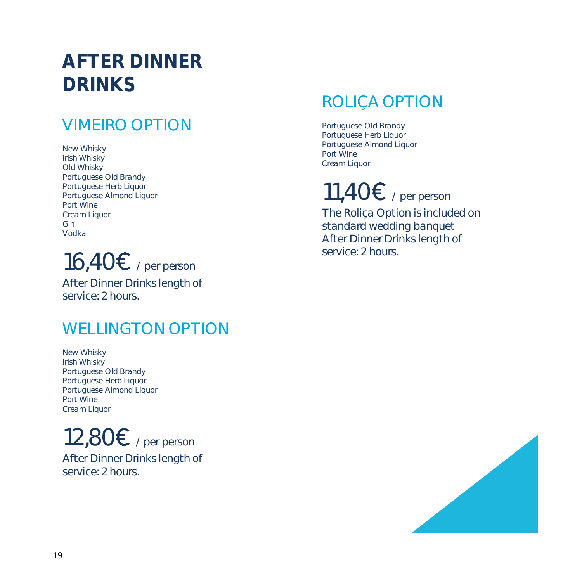# **AFTER DINNER DRINKS**

## VIMEIRO OPTION

New Whisky Irish Whisky Old Whisky Portuguese Old Brandy Portuguese Herb Liquor Portuguese Almond Liquor Port Wine Cream Liquor Gin Vodka



After Dinner Drinks length of service: 2 hours.

## WELLINGTON OPTION

New Whisky Irish Whisky Portuguese Old Brandy Portuguese Herb Liquor Portuguese Almond Liquor Port Wine Cream Liquor

 $12,80E$  / per person After Dinner Drinks length of service: 2 hours.

## ROLIÇA OPTION

Portuguese Old Brandy Portuguese Herb Liquor Portuguese Almond Liquor Port Wine Cream Liquor

# 11,40 $\epsilon$  / per person

The Roliça Option is included on standard wedding banquet After Dinner Drinks length of service: 2 hours.

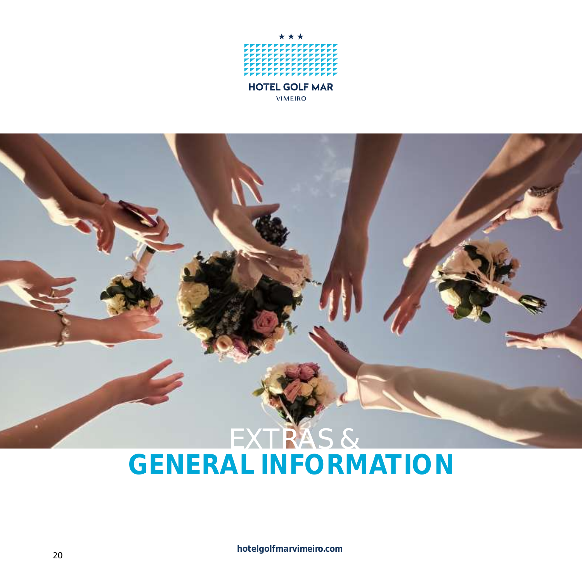

# EXTRAS & **GENERAL INFORMATION**

**hotelgolfmarvimeiro.com**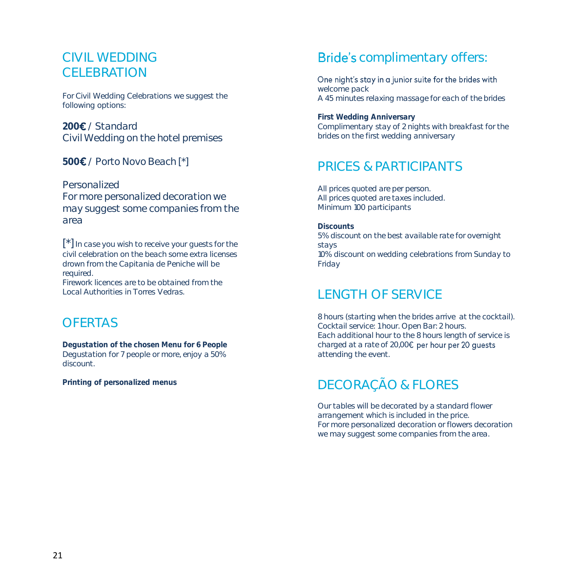### CIVIL WEDDING CELEBRATION

For Civil Wedding Celebrations we suggest the following options:

200**€** / Standard Civil Wedding on the hotel premises

**500** / Porto Novo Beach [\*]

Personalized

For more personalized decoration we may suggest some companies from the area

[\*] In case you wish to receive your guests for the civil celebration on the beach some extra licenses drown from the Capitania de Peniche will be required.

Firework licences are to be obtained from the Local Authorities in Torres Vedras.

### **OFFRTAS**

**Degustation of the chosen Menu for 6 People** Degustation for 7 people or more, enjoy a 50% discount.

**Printing of personalized menus**

### **Bride's** complimentary offers:

One night's stay in a junior suite for the brides with welcome pack A 45 minutes relaxing massage for each of the brides

**First Wedding Anniversary** Complimentary stay of 2 nights with breakfast for the brides on the first wedding anniversary

### PRICES & PARTICIPANTS

All prices quoted are per person. All prices quoted are taxes included. Minimum 100 participants

**Discounts** 5% discount on the best available rate for overnight stays 10% discount on wedding celebrations from Sunday to Friday

## LENGTH OF SERVICE

8 hours (starting when the brides arrive at the cocktail). Cocktail service: 1 hour. Open Bar: 2 hours. Each additional hour to the 8 hours length of service is charged at a rate of 20,00€ per hour per 20 quests attending the event.

## DECORAÇÃO & FLORES

Our tables will be decorated by a standard flower arrangement which is included in the price. For more personalized decoration or flowers decoration we may suggest some companies from the area.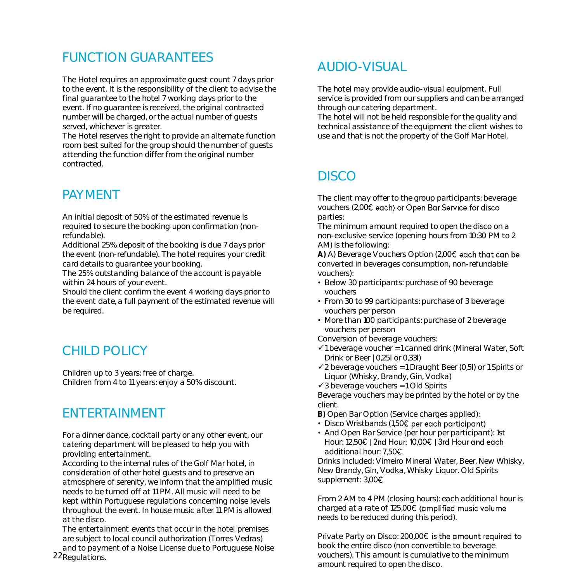### FUNCTION GUARANTEES

The Hotel requires an approximate guest count 7 days prior to the event. It is the responsibility of the client to advise the final guarantee to the hotel 7 working days prior to the event. If no guarantee is received, the original contracted number will be charged, or the actual number of guests served, whichever is greater.

The Hotel reserves the right to provide an alternate function room best suited for the group should the number of guests attending the function differ from the original number contracted.

### PAYMENT

An initial deposit of 50% of the estimated revenue is required to secure the booking upon confirmation (nonrefundable).

Additional 25% deposit of the booking is due 7 days prior the event (non-refundable). The hotel requires your credit card details to guarantee your booking.

The 25% outstanding balance of the account is payable within 24 hours of your event.

Should the client confirm the event 4 working days prior to the event date, a full payment of the estimated revenue will be required.

### CHILD POLICY

Children up to 3 years: free of charge. Children from 4 to 11 years: enjoy a 50% discount.

### ENTERTAINMENT

For a dinner dance, cocktail party or any other event, our catering department will be pleased to help you with providing entertainment.

According to the internal rules of the Golf Mar hotel, in consideration of other hotel guests and to preserve an atmosphere of serenity, we inform that the amplified music needs to be turned off at 11 PM. All music will need to be kept within Portuguese regulations concerning noise levels throughout the event. In house music after 11 PM is allowed at the disco.

The entertainment events that occur in the hotel premises are subject to local council authorization (Torres Vedras)

22 Regulations. and to payment of a Noise License due to Portuguese Noise

## AUDIO-VISUAL

The hotel may provide audio-visual equipment. Full service is provided from our suppliers and can be arranged through our catering department.

The hotel will not be held responsible for the quality and technical assistance of the equipment the client wishes to use and that is not the property of the Golf Mar Hotel.

## DISCO

The client may offer to the group participants: beverage vouchers (2,00€ each) or Open Bar Service for disco parties:

The minimum amount required to open the disco on a non-exclusive service (opening hours from 10:30 PM to 2 AM) is the following:

A) A) Beverage Vouchers Option (2,00€ each that can be converted in beverages consumption, non-refundable vouchers):

- Below 30 participants: purchase of 90 beverage vouchers
- From 30 to 99 participants: purchase of 3 beverage vouchers per person
- More than 100 participants: purchase of 2 beverage vouchers per person

Conversion of beverage vouchers:

- ✓1 beverage voucher = 1 canned drink (Mineral Water, Soft Drink or Beer | 0,25l or 0,33l)
- $\checkmark$  2 beverage vouchers = 1 Draught Beer (0,5l) or 1 Spirits or Liquor (Whisky, Brandy, Gin, Vodka)

✓3 beverage vouchers = 1 Old Spirits

Beverage vouchers may be printed by the hotel or by the client.

**B)** Open Bar Option (Service charges applied):

- Disco Wristbands (1,50€ per each participant)
- And Open Bar Service (per hour per participant): 1st Hour: 12,50€ | 2nd Hour: 10,00€ | 3rd Hour and each additional hour:  $7,50$

Drinks included: Vimeiro Mineral Water, Beer, New Whisky, New Brandy, Gin, Vodka, Whisky Liquor. Old Spirits supplement: 3,00€

From 2 AM to 4 PM (closing hours): each additional hour is charged at a rate of 125,00€ (amplified music volume needs to be reduced during this period).

Private Party on Disco: 200,00€ is the amount required to book the entire disco (non convertible to beverage vouchers). This amount is cumulative to the minimum amount required to open the disco.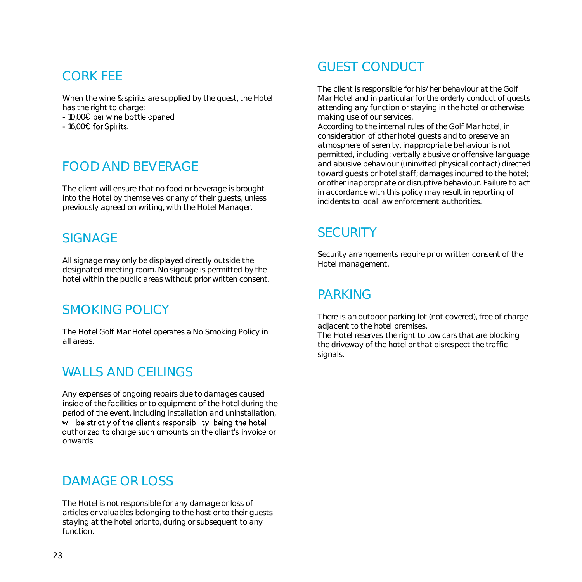### CORK FEE

When the wine & spirits are supplied by the guest, the Hotel has the right to charge:

- 10,00€ per wine bottle opened

- 16,00€ for Spirits.

### FOOD AND BEVERAGE

The client will ensure that no food or beverage is brought into the Hotel by themselves or any of their guests, unless previously agreed on writing, with the Hotel Manager.

### **SIGNAGE**

All signage may only be displayed directly outside the designated meeting room. No signage is permitted by the hotel within the public areas without prior written consent.

### SMOKING POLICY

The Hotel Golf Mar Hotel operates a No Smoking Policy in all areas.

### WALLS AND CEILINGS

Any expenses of ongoing repairs due to damages caused inside of the facilities or to equipment of the hotel during the period of the event, including installation and uninstallation, will be strictly of the client's responsibility, being the hotel authorized to charge such amounts on the client's invoice or onwards

### DAMAGE OR LOSS

The Hotel is not responsible for any damage or loss of articles or valuables belonging to the host or to their guests staying at the hotel prior to, during or subsequent to any function.

### GUEST CONDUCT

The client is responsible for his/her behaviour at the Golf Mar Hotel and in particular for the orderly conduct of guests attending any function or staying in the hotel or otherwise making use of our services.

According to the internal rules of the Golf Mar hotel, in consideration of other hotel guests and to preserve an atmosphere of serenity, inappropriate behaviour is not permitted, including: verbally abusive or offensive language and abusive behaviour (uninvited physical contact) directed toward guests or hotel staff; damages incurred to the hotel; or other inappropriate or disruptive behaviour. Failure to act in accordance with this policy may result in reporting of incidents to local law enforcement authorities.

### **SECURITY**

Security arrangements require prior written consent of the Hotel management.

### PARKING

There is an outdoor parking lot (not covered), free of charge adiacent to the hotel premises. The Hotel reserves the right to tow cars that are blocking the driveway of the hotel or that disrespect the traffic signals.